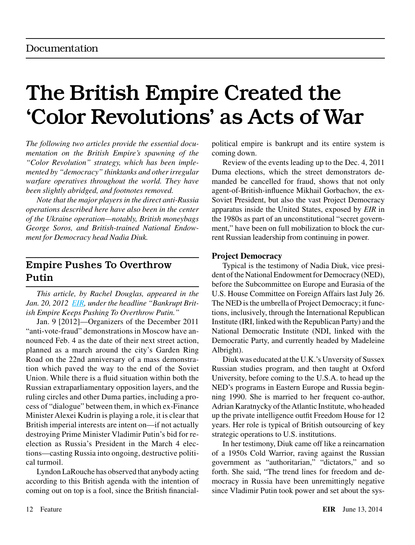# The British Empire Created the 'Color Revolutions' as Acts of War

*The following two articles provide the essential documentation on the British Empire's spawning of the "Color Revolution" strategy, which has been implemented by "democracy" thinktanks and other irregular warfare operatives throughout the world. They have been slightly abridged, and footnotes removed.*

*Note that the major players in the direct anti-Russia operations described here have also been in the center of the Ukraine operation—notably, British moneybags George Soros, and British-trained National Endowment for Democracy head Nadia Diuk.*

## Empire Pushes To Overthrow Putin

*This article, by Rachel Douglas, appeared in the Jan. 20, 2012 [EIR,](http://www.larouchepub.com/eiw/public/2012/eirv39n03-20120120/12-18_3903.pdf) under the headline "Bankrupt British Empire Keeps Pushing To Overthrow Putin."*

Jan. 9 [2012]—Organizers of the December 2011 "anti-vote-fraud" demonstrations in Moscow have announced Feb. 4 as the date of their next street action, planned as a march around the city's Garden Ring Road on the 22nd anniversary of a mass demonstration which paved the way to the end of the Soviet Union. While there is a fluid situation within both the Russian extraparliamentary opposition layers, and the ruling circles and other Duma parties, including a process of "dialogue" between them, in which ex-Finance Minister Alexei Kudrin is playing a role, it is clear that British imperial interests are intent on—if not actually destroying Prime Minister Vladimir Putin's bid for reelection as Russia's President in the March 4 elections—casting Russia into ongoing, destructive political turmoil.

Lyndon LaRouche has observed that anybody acting according to this British agenda with the intention of coming out on top is a fool, since the British financialpolitical empire is bankrupt and its entire system is coming down.

Review of the events leading up to the Dec. 4, 2011 Duma elections, which the street demonstrators demanded be cancelled for fraud, shows that not only agent-of-British-influence Mikhail Gorbachov, the ex-Soviet President, but also the vast Project Democracy apparatus inside the United States, exposed by *EIR* in the 1980s as part of an unconstitutional "secret government," have been on full mobilization to block the current Russian leadership from continuing in power.

#### **Project Democracy**

Typical is the testimony of Nadia Diuk, vice president of the National Endowment for Democracy (NED), before the Subcommittee on Europe and Eurasia of the U.S. House Committee on Foreign Affairs last July 26. The NED is the umbrella of Project Democracy; it functions, inclusively, through the International Republican Institute (IRI, linked with the Republican Party) and the National Democratic Institute (NDI, linked with the Democratic Party, and currently headed by Madeleine Albright).

Diuk was educated at the U.K.'s Unversity of Sussex Russian studies program, and then taught at Oxford University, before coming to the U.S.A. to head up the NED's programs in Eastern Europe and Russia beginning 1990. She is married to her frequent co-author, Adrian Karatnycky of the Atlantic Institute, who headed up the private intelligence outfit Freedom House for 12 years. Her role is typical of British outsourcing of key strategic operations to U.S. institutions.

In her testimony, Diuk came off like a reincarnation of a 1950s Cold Warrior, raving against the Russian government as "authoritarian," "dictators," and so forth. She said, "The trend lines for freedom and democracy in Russia have been unremittingly negative since Vladimir Putin took power and set about the sys-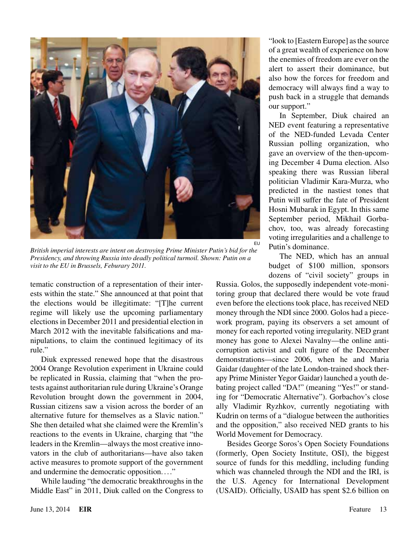

*British imperial interests are intent on destroying Prime Minister Putin's bid for the Presidency, and throwing Russia into deadly political turmoil. Shown: Putin on a visit to the EU in Brussels, Feburary 2011.*

tematic construction of a representation of their interests within the state." She announced at that point that the elections would be illegitimate: "[T]he current regime will likely use the upcoming parliamentary elections in December 2011 and presidential election in March 2012 with the inevitable falsifications and manipulations, to claim the continued legitimacy of its rule."

Diuk expressed renewed hope that the disastrous 2004 Orange Revolution experiment in Ukraine could be replicated in Russia, claiming that "when the protests against authoritarian rule during Ukraine's Orange Revolution brought down the government in 2004, Russian citizens saw a vision across the border of an alternative future for themselves as a Slavic nation." She then detailed what she claimed were the Kremlin's reactions to the events in Ukraine, charging that "the leaders in the Kremlin—always the most creative innovators in the club of authoritarians—have also taken active measures to promote support of the government and undermine the democratic opposition...."

While lauding "the democratic breakthroughs in the Middle East" in 2011, Diuk called on the Congress to "look to [Eastern Europe] as the source of a great wealth of experience on how the enemies of freedom are ever on the alert to assert their dominance, but also how the forces for freedom and democracy will always find a way to push back in a struggle that demands our support."

In September, Diuk chaired an NED event featuring a representative of the NED-funded Levada Center Russian polling organization, who gave an overview of the then-upcoming December 4 Duma election. Also speaking there was Russian liberal politician Vladimir Kara-Murza, who predicted in the nastiest tones that Putin will suffer the fate of President Hosni Mubarak in Egypt. In this same September period, Mikhail Gorbachov, too, was already forecasting voting irregularities and a challenge to Putin's dominance.

The NED, which has an annual budget of \$100 million, sponsors dozens of "civil society" groups in

Russia. Golos, the supposedly independent vote-monitoring group that declared there would be vote fraud even before the elections took place, has received NED money through the NDI since 2000. Golos had a piecework program, paying its observers a set amount of money for each reported voting irregularity. NED grant money has gone to Alexei Navalny—the online anticorruption activist and cult figure of the December demonstrations—since 2006, when he and Maria Gaidar (daughter of the late London-trained shock therapy Prime Minister Yegor Gaidar) launched a youth debating project called "DA!" (meaning "Yes!" or standing for "Democratic Alternative"). Gorbachov's close ally Vladimir Ryzhkov, currently negotiating with Kudrin on terms of a "dialogue between the authorities and the opposition," also received NED grants to his World Movement for Democracy.

Besides George Soros's Open Society Foundations (formerly, Open Society Institute, OSI), the biggest source of funds for this meddling, including funding which was channeled through the NDI and the IRI, is the U.S. Agency for International Development (USAID). Officially, USAID has spent \$2.6 billion on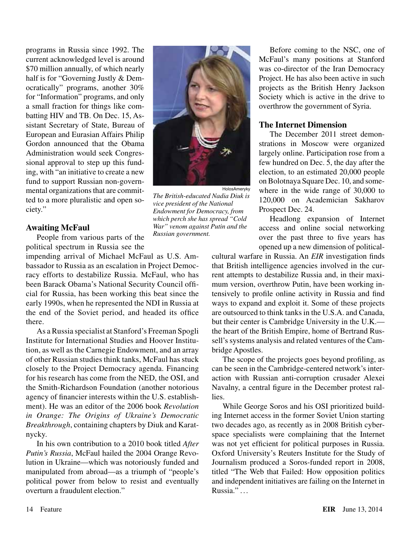programs in Russia since 1992. The current acknowledged level is around \$70 million annually, of which nearly half is for "Governing Justly & Democratically" programs, another 30% for "Information" programs, and only a small fraction for things like combatting HIV and TB. On Dec. 15, Assistant Secretary of State, Bureau of European and Eurasian Affairs Philip Gordon announced that the Obama Administration would seek Congressional approval to step up this funding, with "an initiative to create a new fund to support Russian non-governmental organizations that are committed to a more pluralistic and open society."

#### **Awaiting McFaul**

People from various parts of the political spectrum in Russia see the

impending arrival of Michael McFaul as U.S. Ambassador to Russia as an escalation in Project Democracy efforts to destabilize Russia. McFaul, who has been Barack Obama's National Security Council official for Russia, has been working this beat since the early 1990s, when he represented the NDI in Russia at the end of the Soviet period, and headed its office there.

As a Russia specialist at Stanford's Freeman Spogli Institute for International Studies and Hoover Institution, as well as the Carnegie Endowment, and an array of other Russian studies think tanks, McFaul has stuck closely to the Project Democracy agenda. Financing for his research has come from the NED, the OSI, and the Smith-Richardson Foundation (another notorious agency of financier interests within the U.S. establishment). He was an editor of the 2006 book *Revolution in Orange: The Origins of Ukraine's Democratic Breakthrough*, containing chapters by Diuk and Karatnycky.

In his own contribution to a 2010 book titled *After Putin's Russia*, McFaul hailed the 2004 Orange Revolution in Ukraine—which was notoriously funded and manipulated from abroad—as a triumph of "people's political power from below to resist and eventually overturn a fraudulent election."



*The British-educated Nadia Diuk is vice president of the National Endowment for Democracy, from which perch she has spread "Cold War" venom against Putin and the Russian government.*

Before coming to the NSC, one of McFaul's many positions at Stanford was co-director of the Iran Democracy Project. He has also been active in such projects as the British Henry Jackson Society which is active in the drive to overthrow the government of Syria.

#### **The Internet Dimension**

The December 2011 street demonstrations in Moscow were organized largely online. Participation rose from a few hundred on Dec. 5, the day after the election, to an estimated 20,000 people on Bolotnaya Square Dec. 10, and somewhere in the wide range of 30,000 to 120,000 on Academician Sakharov Prospect Dec. 24.

Headlong expansion of Internet access and online social networking over the past three to five years has opened up a new dimension of political-

cultural warfare in Russia. An *EIR* investigation finds that British intelligence agencies involved in the current attempts to destabilize Russia and, in their maximum version, overthrow Putin, have been working intensively to profile online activity in Russia and find ways to expand and exploit it. Some of these projects are outsourced to think tanks in the U.S.A. and Canada, but their center is Cambridge University in the U.K. the heart of the British Empire, home of Bertrand Russell's systems analysis and related ventures of the Cambridge Apostles.

The scope of the projects goes beyond profiling, as can be seen in the Cambridge-centered network's interaction with Russian anti-corruption crusader Alexei Navalny, a central figure in the December protest rallies.

While George Soros and his OSI prioritized building Internet access in the former Soviet Union starting two decades ago, as recently as in 2008 British cyberspace specialists were complaining that the Internet was not yet efficient for political purposes in Russia. Oxford University's Reuters Institute for the Study of Journalism produced a Soros-funded report in 2008, titled "The Web that Failed: How opposition politics and independent initiatives are failing on the Internet in Russia." . ..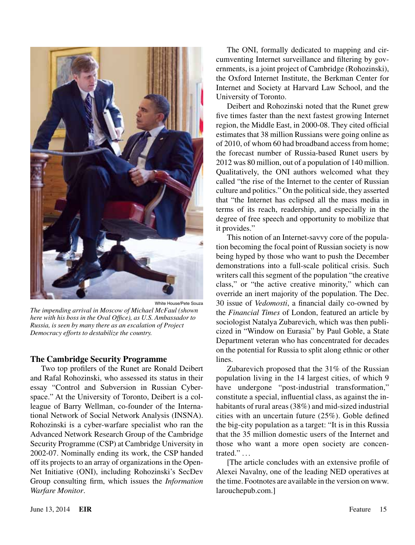

White House/Pete Souza *The impending arrival in Moscow of Michael McFaul (shown here with his boss in the Oval Office), as U.S. Ambassador to Russia, is seen by many there as an escalation of Project Democracy efforts to destabilize the country.*

#### **The Cambridge Security Programme**

Two top profilers of the Runet are Ronald Deibert and Rafal Rohozinski, who assessed its status in their essay "Control and Subversion in Russian Cyberspace." At the University of Toronto, Deibert is a colleague of Barry Wellman, co-founder of the International Network of Social Network Analysis (INSNA). Rohozinski is a cyber-warfare specialist who ran the Advanced Network Research Group of the Cambridge Security Programme (CSP) at Cambridge University in 2002-07. Nominally ending its work, the CSP handed off its projects to an array of organizations in the Open-Net Initiative (ONI), including Rohozinski's SecDev Group consulting firm, which issues the *Information Warfare Monitor*.

The ONI, formally dedicated to mapping and circumventing Internet surveillance and filtering by governments, is a joint project of Cambridge (Rohozinski), the Oxford Internet Institute, the Berkman Center for Internet and Society at Harvard Law School, and the University of Toronto.

Deibert and Rohozinski noted that the Runet grew five times faster than the next fastest growing Internet region, the Middle East, in 2000-08. They cited official estimates that 38 million Russians were going online as of 2010, of whom 60 had broadband access from home; the forecast number of Russia-based Runet users by 2012 was 80 million, out of a population of 140 million. Qualitatively, the ONI authors welcomed what they called "the rise of the Internet to the center of Russian culture and politics." On the political side, they asserted that "the Internet has eclipsed all the mass media in terms of its reach, readership, and especially in the degree of free speech and opportunity to mobilize that it provides."

This notion of an Internet-savvy core of the population becoming the focal point of Russian society is now being hyped by those who want to push the December demonstrations into a full-scale political crisis. Such writers call this segment of the population "the creative class," or "the active creative minority," which can override an inert majority of the population. The Dec. 30 issue of *Vedomosti*, a financial daily co-owned by the *Financial Times* of London, featured an article by sociologist Natalya Zubarevich, which was then publicized in "Window on Eurasia" by Paul Goble, a State Department veteran who has concentrated for decades on the potential for Russia to split along ethnic or other lines.

Zubarevich proposed that the 31% of the Russian population living in the 14 largest cities, of which 9 have undergone "post-industrial transformation," constitute a special, influential class, as against the inhabitants of rural areas (38%) and mid-sized industrial cities with an uncertain future (25%). Goble defined the big-city population as a target: "It is in this Russia that the 35 million domestic users of the Internet and those who want a more open society are concentrated." . . .

[The article concludes with an extensive profile of Alexei Navalny, one of the leading NED operatives at the time. Footnotes are available in the version on www. larouchepub.com.]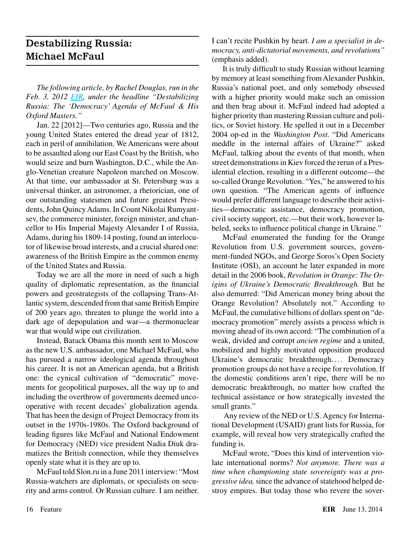## Destabilizing Russia: Michael McFaul

*The following article, by Rachel Douglas, run in the Feb. 3, 2012 [EIR](http://www.larouchepub.com/eiw/public/2012/eirv39n05-20120203/51-64_3905.pdf), under the headline "Destabilizing Russia: The 'Democracy' Agenda of McFaul & His Oxford Masters."*

Jan. 22 [2012]—Two centuries ago, Russia and the young United States entered the dread year of 1812, each in peril of annihilation. We Americans were about to be assaulted along our East Coast by the British, who would seize and burn Washington, D.C., while the Anglo-Venetian creature Napoleon marched on Moscow. At that time, our ambassador at St. Petersburg was a universal thinker, an astronomer, a rhetorician, one of our outstanding statesmen and future greatest Presidents, John Quincy Adams. In Count Nikolai Rumyantsev, the commerce minister, foreign minister, and chancellor to His Imperial Majesty Alexander I of Russia, Adams, during his 1809-14 posting, found an interlocutor of likewise broad interests, and a crucial shared one: awareness of the British Empire as the common enemy of the United States and Russia.

Today we are all the more in need of such a high quality of diplomatic representation, as the financial powers and geostrategists of the collapsing Trans-Atlantic system, descended from that same British Empire of 200 years ago, threaten to plunge the world into a dark age of depopulation and war—a thermonuclear war that would wipe out civilization.

Instead, Barack Obama this month sent to Moscow as the new U.S. ambassador, one Michael McFaul, who has pursued a narrow ideological agenda throughout his career. It is not an American agenda, but a British one: the cynical cultivation of "democratic" movements for geopolitical purposes, all the way up to and including the overthrow of governments deemed uncooperative with recent decades' globalization agenda. That has been the design of Project Democracy from its outset in the 1970s-1980s. The Oxford background of leading figures like McFaul and National Endowment for Democracy (NED) vice president Nadia Diuk dramatizes the British connection, while they themselves openly state what it is they are up to.

McFaul told Slon.ru in a June 2011 interview: "Most Russia-watchers are diplomats, or specialists on security and arms control. Or Russian culture. I am neither. I can't recite Pushkin by heart. *I am a specialist in democracy, anti-dictatorial movements, and revolutions"*  (emphasis added).

It is truly difficult to study Russian without learning by memory at least something from Alexander Pushkin, Russia's national poet, and only somebody obsessed with a higher priority would make such an omission and then brag about it. McFaul indeed had adopted a higher priority than mastering Russian culture and politics, or Soviet history. He spelled it out in a December 2004 op-ed in the *Washington Post.* "Did Americans meddle in the internal affairs of Ukraine?" asked McFaul, talking about the events of that month, when street demonstrations in Kiev forced the rerun of a Presidential election, resulting in a different outcome—the so-called Orange Revolution. "Yes," he answered to his own question. "The American agents of influence would prefer different language to describe their activities—democratic assistance, democracy promotion, civil society support, etc.—but their work, however labeled, seeks to influence political change in Ukraine."

McFaul enumerated the funding for the Orange Revolution from U.S. government sources, government-funded NGOs, and George Soros's Open Society Institute (OSI), an account he later expanded in more detail in the 2006 book, *Revolution in Orange: The Origins of Ukraine's Democratic Breakthrough.* But he also demurred: "Did American money bring about the Orange Revolution? Absolutely not." According to McFaul, the cumulative billions of dollars spent on "democracy promotion" merely assists a process which is moving ahead of its own accord: "The combination of a weak, divided and corrupt *ancien regime* and a united, mobilized and highly motivated opposition produced Ukraine's democratic breakthrough. ... Democracy promotion groups do not have a recipe for revolution. If the domestic conditions aren't ripe, there will be no democratic breakthrough, no matter how crafted the technical assistance or how strategically invested the small grants."

 Any review of the NED or U.S. Agency for International Development (USAID) grant lists for Russia, for example, will reveal how very strategically crafted the funding is.

McFaul wrote, "Does this kind of intervention violate international norms? *Not anymore. There was a time when championing state sovereignty was a progressive idea,* since the advance of statehood helped destroy empires. But today those who revere the sover-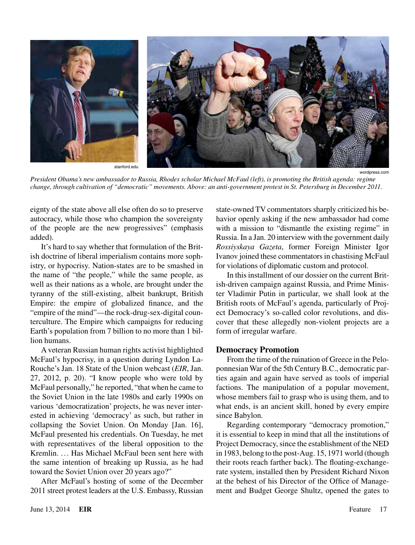

*President Obama's new ambassador to Russia, Rhodes scholar Michael McFaul (left), is promoting the British agenda: regime change, through cultivation of "democratic" movements. Above: an anti-government protest in St. Petersburg in December 2011.*

eignty of the state above all else often do so to preserve autocracy, while those who champion the sovereignty of the people are the new progressives" (emphasis added).

It's hard to say whether that formulation of the British doctrine of liberal imperialism contains more sophistry, or hypocrisy. Nation-states are to be smashed in the name of "the people," while the same people, as well as their nations as a whole, are brought under the tyranny of the still-existing, albeit bankrupt, British Empire: the empire of globalized finance, and the "empire of the mind"—the rock-drug-sex-digital counterculture. The Empire which campaigns for reducing Earth's population from 7 billion to no more than 1 billion humans.

A veteran Russian human rights activist highlighted McFaul's hypocrisy, in a question during Lyndon La-Rouche's Jan. 18 State of the Union webcast (*EIR*, Jan. 27, 2012, p. 20). "I know people who were told by McFaul personally," he reported, "that when he came to the Soviet Union in the late 1980s and early 1990s on various 'democratization' projects, he was never interested in achieving 'democracy' as such, but rather in collapsing the Soviet Union. On Monday [Jan. 16], McFaul presented his credentials. On Tuesday, he met with representatives of the liberal opposition to the Kremlin. ... Has Michael McFaul been sent here with the same intention of breaking up Russia, as he had toward the Soviet Union over 20 years ago?"

After McFaul's hosting of some of the December 2011 street protest leaders at the U.S. Embassy, Russian state-owned TV commentators sharply criticized his behavior openly asking if the new ambassador had come with a mission to "dismantle the existing regime" in Russia. In a Jan. 20 interview with the government daily *Rossiyskaya Gazeta*, former Foreign Minister Igor Ivanov joined these commentators in chastising McFaul for violations of diplomatic custom and protocol.

In this installment of our dossier on the current British-driven campaign against Russia, and Prime Minister Vladimir Putin in particular, we shall look at the British roots of McFaul's agenda, particularly of Project Democracy's so-called color revolutions, and discover that these allegedly non-violent projects are a form of irregular warfare.

#### **Democracy Promotion**

From the time of the ruination of Greece in the Peloponnesian War of the 5th Century B.C., democratic parties again and again have served as tools of imperial factions. The manipulation of a popular movement, whose members fail to grasp who is using them, and to what ends, is an ancient skill, honed by every empire since Babylon.

Regarding contemporary "democracy promotion," it is essential to keep in mind that all the institutions of Project Democracy, since the establishment of the NED in 1983, belong to the post-Aug. 15, 1971 world (though their roots reach farther back). The floating-exchangerate system, installed then by President Richard Nixon at the behest of his Director of the Office of Management and Budget George Shultz, opened the gates to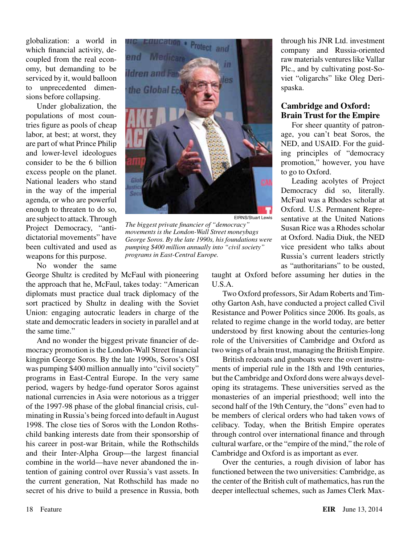globalization: a world in which financial activity, decoupled from the real economy, but demanding to be serviced by it, would balloon to unprecedented dimensions before collapsing.

Under globalization, the populations of most countries figure as pools of cheap labor, at best; at worst, they are part of what Prince Philip and lower-level ideologues consider to be the 6 billion excess people on the planet. National leaders who stand in the way of the imperial agenda, or who are powerful enough to threaten to do so, are subject to attack. Through Project Democracy, "antidictatorial movements" have been cultivated and used as weapons for this purpose.



EIRNS/Stuart Lewis

*The biggest private financier of "democracy" movements is the London-Wall Street moneybags George Soros. By the late 1990s, his foundations were pumping \$400 million annually into "civil society" programs in East-Central Europe.*

No wonder the same

George Shultz is credited by McFaul with pioneering the approach that he, McFaul, takes today: "American diplomats must practice dual track diplomacy of the sort practiced by Shultz in dealing with the Soviet Union: engaging autocratic leaders in charge of the state and democratic leaders in society in parallel and at the same time."

And no wonder the biggest private financier of democracy promotion is the London-Wall Street financial kingpin George Soros. By the late 1990s, Soros's OSI was pumping \$400 million annually into "civil society" programs in East-Central Europe. In the very same period, wagers by hedge-fund operator Soros against national currencies in Asia were notorious as a trigger of the 1997-98 phase of the global financial crisis, culminating in Russia's being forced into default in August 1998. The close ties of Soros with the London Rothschild banking interests date from their sponsorship of his career in post-war Britain, while the Rothschilds and their Inter-Alpha Group—the largest financial combine in the world—have never abandoned the intention of gaining control over Russia's vast assets. In the current generation, Nat Rothschild has made no secret of his drive to build a presence in Russia, both

through his JNR Ltd. investment company and Russia-oriented raw materials ventures like Vallar Plc., and by cultivating post-Soviet "oligarchs" like Oleg Derispaska.

#### **Cambridge and Oxford: Brain Trust for the Empire**

For sheer quantity of patronage, you can't beat Soros, the NED, and USAID. For the guiding principles of "democracy promotion," however, you have to go to Oxford.

Leading acolytes of Project Democracy did so, literally. McFaul was a Rhodes scholar at Oxford. U.S. Permanent Representative at the United Nations Susan Rice was a Rhodes scholar at Oxford. Nadia Diuk, the NED vice president who talks about Russia's current leaders strictly as "authoritarians" to be ousted,

taught at Oxford before assuming her duties in the U.S.A.

Two Oxford professors, Sir Adam Roberts and Timothy Garton Ash, have conducted a project called Civil Resistance and Power Politics since 2006. Its goals, as related to regime change in the world today, are better understood by first knowing about the centuries-long role of the Universities of Cambridge and Oxford as two wings of a brain trust, managing the British Empire.

British redcoats and gunboats were the overt instruments of imperial rule in the 18th and 19th centuries, but the Cambridge and Oxford dons were always developing its stratagems. These universities served as the monasteries of an imperial priesthood; well into the second half of the 19th Century, the "dons" even had to be members of clerical orders who had taken vows of celibacy. Today, when the British Empire operates through control over international finance and through cultural warfare, or the "empire of the mind," the role of Cambridge and Oxford is as important as ever.

Over the centuries, a rough division of labor has functioned between the two universities: Cambridge, as the center of the British cult of mathematics, has run the deeper intellectual schemes, such as James Clerk Max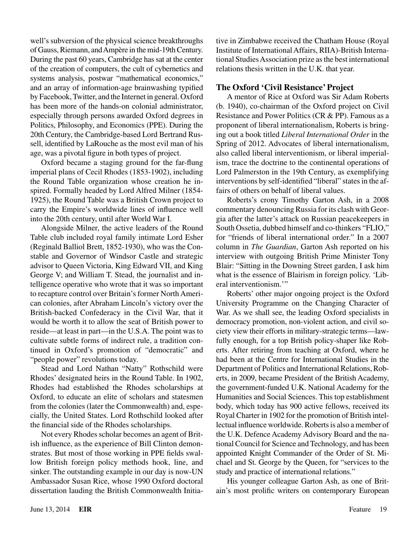well's subversion of the physical science breakthroughs of Gauss, Riemann, and Ampère in the mid-19th Century. During the past 60 years, Cambridge has sat at the center of the creation of computers, the cult of cybernetics and systems analysis, postwar "mathematical economics," and an array of information-age brainwashing typified by Facebook, Twitter, and the Internet in general. Oxford has been more of the hands-on colonial administrator, especially through persons awarded Oxford degrees in Politics, Philosophy, and Economics (PPE). During the 20th Century, the Cambridge-based Lord Bertrand Russell, identified by LaRouche as the most evil man of his age, was a pivotal figure in both types of project.

Oxford became a staging ground for the far-flung imperial plans of Cecil Rhodes (1853-1902), including the Round Table organization whose creation he inspired. Formally headed by Lord Alfred Milner (1854- 1925), the Round Table was a British Crown project to carry the Empire's worldwide lines of influence well into the 20th century, until after World War I.

Alongside Milner, the active leaders of the Round Table club included royal family intimate Lord Esher (Reginald Balliol Brett, 1852-1930), who was the Constable and Governor of Windsor Castle and strategic advisor to Queen Victoria, King Edward VII, and King George V; and William T. Stead, the journalist and intelligence operative who wrote that it was so important to recapture control over Britain's former North American colonies, after Abraham Lincoln's victory over the British-backed Confederacy in the Civil War, that it would be worth it to allow the seat of British power to reside—at least in part—in the U.S.A. The point was to cultivate subtle forms of indirect rule, a tradition continued in Oxford's promotion of "democratic" and "people power" revolutions today.

Stead and Lord Nathan "Natty" Rothschild were Rhodes' designated heirs in the Round Table. In 1902, Rhodes had established the Rhodes scholarships at Oxford, to educate an elite of scholars and statesmen from the colonies (later the Commonwealth) and, especially, the United States. Lord Rothschild looked after the financial side of the Rhodes scholarships.

Not every Rhodes scholar becomes an agent of British influence, as the experience of Bill Clinton demonstrates. But most of those working in PPE fields swallow British foreign policy methods hook, line, and sinker. The outstanding example in our day is now-UN Ambassador Susan Rice, whose 1990 Oxford doctoral dissertation lauding the British Commonwealth Initiative in Zimbabwe received the Chatham House (Royal Institute of International Affairs, RIIA)-British International Studies Association prize as the best international relations thesis written in the U.K. that year.

#### **The Oxford 'Civil Resistance' Project**

A mentor of Rice at Oxford was Sir Adam Roberts (b. 1940), co-chairman of the Oxford project on Civil Resistance and Power Politics (CR & PP). Famous as a proponent of liberal internationalism, Roberts is bringing out a book titled *Liberal International Order* in the Spring of 2012. Advocates of liberal internationalism, also called liberal interventionism, or liberal imperialism, trace the doctrine to the continental operations of Lord Palmerston in the 19th Century, as exemplifying interventions by self-identified "liberal" states in the affairs of others on behalf of liberal values.

Roberts's crony Timothy Garton Ash, in a 2008 commentary denouncing Russia for its clash with Georgia after the latter's attack on Russian peacekeepers in South Ossetia, dubbed himself and co-thinkers "FLIO," for "friends of liberal international order." In a 2007 column in *The Guardian*, Garton Ash reported on his interview with outgoing British Prime Minister Tony Blair: "Sitting in the Downing Street garden, I ask him what is the essence of Blairism in foreign policy. 'Liberal interventionism."

Roberts' other major ongoing project is the Oxford University Programme on the Changing Character of War. As we shall see, the leading Oxford specialists in democracy promotion, non-violent action, and civil society view their efforts in military-strategic terms—lawfully enough, for a top British policy-shaper like Roberts. After retiring from teaching at Oxford, where he had been at the Centre for International Studies in the Department of Politics and International Relations, Roberts, in 2009, became President of the British Academy, the government-funded U.K. National Academy for the Humanities and Social Sciences. This top establishment body, which today has 900 active fellows, received its Royal Charter in 1902 for the promotion of British intellectual influence worldwide. Roberts is also a member of the U.K. Defence Academy Advisory Board and the national Council for Science and Technology, and has been appointed Knight Commander of the Order of St. Michael and St. George by the Queen, for "services to the study and practice of international relations."

His younger colleague Garton Ash, as one of Britain's most prolific writers on contemporary European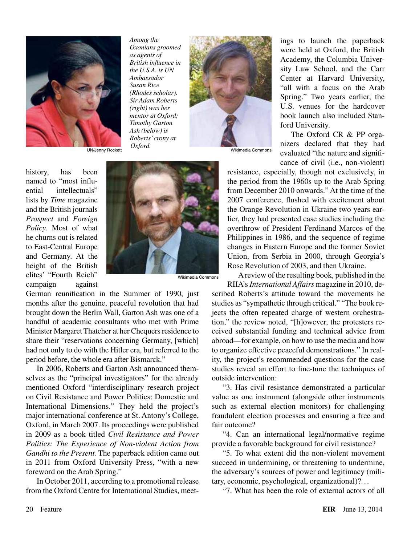

*Among the Oxonians groomed as agents of British influence in the U.S.A. is UN Ambassador Susan Rice (Rhodes scholar). Sir Adam Roberts (right) was her mentor at Oxford; Timothy Garton Ash (below) is Roberts' crony at* 



history, has been named to "most influential intellectuals" lists by *Time* magazine and the British journals *Prospect* and *Foreign Policy*. Most of what he churns out is related to East-Central Europe and Germany. At the height of the British elites' "Fourth Reich" campaign against



Wikimedia Commons

German reunification in the Summer of 1990, just months after the genuine, peaceful revolution that had brought down the Berlin Wall, Garton Ash was one of a handful of academic consultants who met with Prime Minister Margaret Thatcher at her Chequers residence to share their "reservations concerning Germany, [which] had not only to do with the Hitler era, but referred to the period before, the whole era after Bismarck."

In 2006, Roberts and Garton Ash announced themselves as the "principal investigators" for the already mentioned Oxford "interdisciplinary research project on Civil Resistance and Power Politics: Domestic and International Dimensions." They held the project's major international conference at St. Antony's College, Oxford, in March 2007. Its proceedings were published in 2009 as a book titled *Civil Resistance and Power Politics: The Experience of Non-violent Action from Gandhi to the Present.* The paperback edition came out in 2011 from Oxford University Press, "with a new foreword on the Arab Spring."

In October 2011, according to a promotional release from the Oxford Centre for International Studies, meet-

ings to launch the paperback were held at Oxford, the British Academy, the Columbia University Law School, and the Carr Center at Harvard University, "all with a focus on the Arab Spring." Two years earlier, the U.S. venues for the hardcover book launch also included Stanford University.

The Oxford CR & PP organizers declared that they had evaluated "the nature and significance of civil (i.e., non-violent)

resistance, especially, though not exclusively, in the period from the 1960s up to the Arab Spring from December 2010 onwards." At the time of the 2007 conference, flushed with excitement about the Orange Revolution in Ukraine two years earlier, they had presented case studies including the overthrow of President Ferdinand Marcos of the Philippines in 1986, and the sequence of regime changes in Eastern Europe and the former Soviet Union, from Serbia in 2000, through Georgia's Rose Revolution of 2003, and then Ukraine.

A review of the resulting book, published in the

RIIA's *International Affairs* magazine in 2010, described Roberts's attitude toward the movements he studies as "sympathetic through critical." "The book rejects the often repeated charge of western orchestration," the review noted, "[h]owever, the protesters received substantial funding and technical advice from abroad—for example, on how to use the media and how to organize effective peaceful demonstrations." In reality, the project's recommended questions for the case studies reveal an effort to fine-tune the techniques of outside intervention:

"3. Has civil resistance demonstrated a particular value as one instrument (alongside other instruments such as external election monitors) for challenging fraudulent election processes and ensuring a free and fair outcome?

"4. Can an international legal/normative regime provide a favorable background for civil resistance?

"5. To what extent did the non-violent movement succeed in undermining, or threatening to undermine, the adversary's sources of power and legitimacy (military, economic, psychological, organizational)?. ..

"7. What has been the role of external actors of all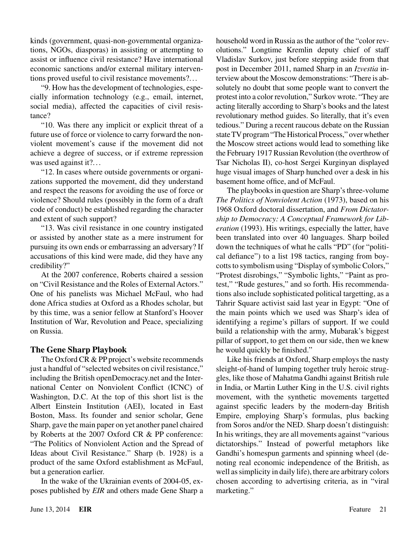kinds (government, quasi-non-governmental organizations, NGOs, diasporas) in assisting or attempting to assist or influence civil resistance? Have international economic sanctions and/or external military interventions proved useful to civil resistance movements?...

"9. How has the development of technologies, especially information technology (e.g., email, internet, social media), affected the capacities of civil resistance?

"10. Was there any implicit or explicit threat of a future use of force or violence to carry forward the nonviolent movement's cause if the movement did not achieve a degree of success, or if extreme repression was used against it?...

"12. In cases where outside governments or organizations supported the movement, did they understand and respect the reasons for avoiding the use of force or violence? Should rules (possibly in the form of a draft code of conduct) be established regarding the character and extent of such support?

"13. Was civil resistance in one country instigated or assisted by another state as a mere instrument for pursuing its own ends or embarrassing an adversary? If accusations of this kind were made, did they have any credibility?"

At the 2007 conference, Roberts chaired a session on "Civil Resistance and the Roles of External Actors." One of his panelists was Michael McFaul, who had done Africa studies at Oxford as a Rhodes scholar, but by this time, was a senior fellow at Stanford's Hoover Institution of War, Revolution and Peace, specializing on Russia.

#### **The Gene Sharp Playbook**

The Oxford CR & PP project's website recommends just a handful of "selected websites on civil resistance," including the British openDemocracy.net and the International Center on Nonviolent Conflict (ICNC) of Washington, D.C. At the top of this short list is the Albert Einstein Institution (AEI), located in East Boston, Mass. Its founder and senior scholar, Gene Sharp, gave the main paper on yet another panel chaired by Roberts at the 2007 Oxford CR & PP conference: "The Politics of Nonviolent Action and the Spread of Ideas about Civil Resistance." Sharp (b. 1928) is a product of the same Oxford establishment as McFaul, but a generation earlier.

In the wake of the Ukrainian events of 2004-05, exposes published by *EIR* and others made Gene Sharp a household word in Russia as the author of the "color revolutions." Longtime Kremlin deputy chief of staff Vladislav Surkov, just before stepping aside from that post in December 2011, named Sharp in an *Izvestia* interview about the Moscow demonstrations: "There is absolutely no doubt that some people want to convert the protest into a color revolution," Surkov wrote. "They are acting literally according to Sharp's books and the latest revolutionary method guides. So literally, that it's even tedious." During a recent raucous debate on the Russian state TV program "The Historical Process," over whether the Moscow street actions would lead to something like the February 1917 Russian Revolution (the overthrow of Tsar Nicholas II), co-host Sergei Kurginyan displayed huge visual images of Sharp hunched over a desk in his basement home office, and of McFaul.

The playbooks in question are Sharp's three-volume *The Politics of Nonviolent Action* (1973), based on his 1968 Oxford doctoral dissertation, and *From Dictatorship to Democracy: A Conceptual Framework for Liberation* (1993). His writings, especially the latter, have been translated into over 40 languages. Sharp boiled down the techniques of what he calls "PD" (for "political defiance") to a list 198 tactics, ranging from boycotts to symbolism using "Display of symbolic Colors," "Protest disrobings," "Symbolic lights," "Paint as protest," "Rude gestures," and so forth. His recommendations also include sophisticated political targetting, as a Tahrir Square activist said last year in Egypt: "One of the main points which we used was Sharp's idea of identifying a regime's pillars of support. If we could build a relationship with the army, Mubarak's biggest pillar of support, to get them on our side, then we knew he would quickly be finished."

Like his friends at Oxford, Sharp employs the nasty sleight-of-hand of lumping together truly heroic struggles, like those of Mahatma Gandhi against British rule in India, or Martin Luther King in the U.S. civil rights movement, with the synthetic movements targetted against specific leaders by the modern-day British Empire, employing Sharp's formulas, plus backing from Soros and/or the NED. Sharp doesn't distinguish: In his writings, they are all movements against "various dictatorships." Instead of powerful metaphors like Gandhi's homespun garments and spinning wheel (denoting real economic independence of the British, as well as simplicity in daily life), there are arbitrary colors chosen according to advertising criteria, as in "viral marketing."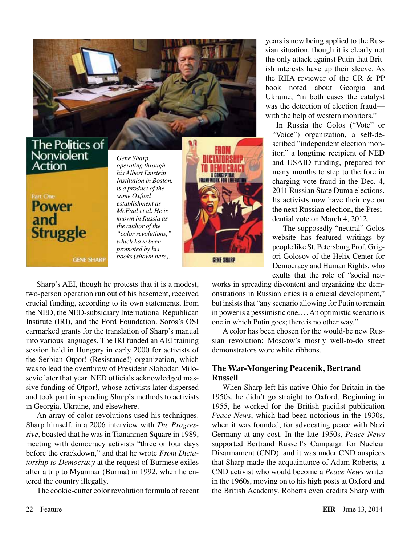

### The Politics of Nonviolent Action



**GENE SHARP** 

*Gene Sharp, operating through his Albert Einstein Institution in Boston, is a product of the same Oxford establishment as McFaul et al. He is known in Russia as the author of the "color revolutions," which have been promoted by his books (shown here).*



**GENE SHARP** 

years is now being applied to the Russian situation, though it is clearly not the only attack against Putin that British interests have up their sleeve. As the RIIA reviewer of the CR & PP book noted about Georgia and Ukraine, "in both cases the catalyst was the detection of election fraud with the help of western monitors."

In Russia the Golos ("Vote" or "Voice") organization, a self-described "independent election monitor," a longtime recipient of NED and USAID funding, prepared for many months to step to the fore in charging vote fraud in the Dec. 4, 2011 Russian State Duma elections. Its activists now have their eye on the next Russian election, the Presidential vote on March 4, 2012.

The supposedly "neutral" Golos website has featured writings by people like St. Petersburg Prof. Grigori Golosov of the Helix Center for Democracy and Human Rights, who exults that the role of "social net-

Sharp's AEI, though he protests that it is a modest, two-person operation run out of his basement, received crucial funding, according to its own statements, from the NED, the NED-subsidiary International Republican Institute (IRI), and the Ford Foundation. Soros's OSI earmarked grants for the translation of Sharp's manual into various languages. The IRI funded an AEI training session held in Hungary in early 2000 for activists of the Serbian Otpor! (Resistance!) organization, which was to lead the overthrow of President Slobodan Milosevic later that year. NED officials acknowledged massive funding of Otpor!, whose activists later dispersed and took part in spreading Sharp's methods to activists in Georgia, Ukraine, and elsewhere.

An array of color revolutions used his techniques. Sharp himself, in a 2006 interview with *The Progressive*, boasted that he was in Tiananmen Square in 1989, meeting with democracy activists "three or four days before the crackdown," and that he wrote *From Dictatorship to Democracy* at the request of Burmese exiles after a trip to Myanmar (Burma) in 1992, when he entered the country illegally.

The cookie-cutter color revolution formula of recent

works in spreading discontent and organizing the demonstrations in Russian cities is a crucial development," but insists that "any scenario allowing for Putin to remain in power is a pessimistic one.... An optimistic scenario is one in which Putin goes; there is no other way."

A color has been chosen for the would-be new Russian revolution: Moscow's mostly well-to-do street demonstrators wore white ribbons.

#### **The War-Mongering Peacenik, Bertrand Russell**

When Sharp left his native Ohio for Britain in the 1950s, he didn't go straight to Oxford. Beginning in 1955, he worked for the British pacifist publication *Peace News*, which had been notorious in the 1930s, when it was founded, for advocating peace with Nazi Germany at any cost. In the late 1950s, *Peace News* supported Bertrand Russell's Campaign for Nuclear Disarmament (CND), and it was under CND auspices that Sharp made the acquaintance of Adam Roberts, a CND activist who would become a *Peace News* writer in the 1960s, moving on to his high posts at Oxford and the British Academy. Roberts even credits Sharp with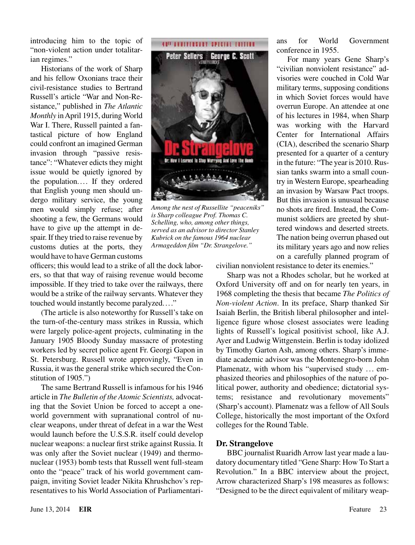introducing him to the topic of "non-violent action under totalitarian regimes."

Historians of the work of Sharp and his fellow Oxonians trace their civil-resistance studies to Bertrand Russell's article "War and Non-Resistance," published in *The Atlantic Monthly* in April 1915, during World War I. There, Russell painted a fantastical picture of how England could confront an imagined German invasion through "passive resistance": "Whatever edicts they might issue would be quietly ignored by the population.... If they ordered that English young men should undergo military service, the young men would simply refuse; after shooting a few, the Germans would have to give up the attempt in despair. If they tried to raise revenue by customs duties at the ports, they would have to have German customs



*Among the nest of Russellite "peaceniks" is Sharp colleague Prof. Thomas C. Schelling, who, among other things, served as an advisor to director Stanley Kubrick on the famous 1964 nuclear Armageddon film "Dr. Strangelove."*

officers; this would lead to a strike of all the dock laborers, so that that way of raising revenue would become impossible. If they tried to take over the railways, there would be a strike of the railway servants. Whatever they touched would instantly become paralyzed...."

(The article is also noteworthy for Russell's take on the turn-of-the-century mass strikes in Russia, which were largely police-agent projects, culminating in the January 1905 Bloody Sunday massacre of protesting workers led by secret police agent Fr. Georgi Gapon in St. Petersburg. Russell wrote approvingly, "Even in Russia, it was the general strike which secured the Constitution of 1905.")

The same Bertrand Russell is infamous for his 1946 article in *The Bulletin of the Atomic Scientists,* advocating that the Soviet Union be forced to accept a oneworld government with supranational control of nuclear weapons, under threat of defeat in a war the West would launch before the U.S.S.R. itself could develop nuclear weapons: a nuclear first strike against Russia. It was only after the Soviet nuclear (1949) and thermonuclear (1953) bomb tests that Russell went full-steam onto the "peace" track of his world government campaign, inviting Soviet leader Nikita Khrushchov's representatives to his World Association of Parliamentari-

For many years Gene Sharp's "civilian nonviolent resistance" advisories were couched in Cold War military terms, supposing conditions in which Soviet forces would have overrun Europe. An attendee at one of his lectures in 1984, when Sharp was working with the Harvard Center for International Affairs (CIA), described the scenario Sharp presented for a quarter of a century in the future: "The year is 2010. Russian tanks swarm into a small country in Western Europe, spearheading an invasion by Warsaw Pact troops. But this invasion is unusual because no shots are fired. Instead, the Communist soldiers are greeted by shuttered windows and deserted streets. The nation being overrun phased out its military years ago and now relies on a carefully planned program of

civilian nonviolent resistance to deter its enemies."

Sharp was not a Rhodes scholar, but he worked at Oxford University off and on for nearly ten years, in 1968 completing the thesis that became *The Politics of Non-violent Action*. In its preface, Sharp thanked Sir Isaiah Berlin, the British liberal philosopher and intelligence figure whose closest associates were leading lights of Russell's logical positivist school, like A.J. Ayer and Ludwig Wittgenstein. Berlin is today idolized by Timothy Garton Ash, among others. Sharp's immediate academic advisor was the Montenegro-born John Plamenatz, with whom his "supervised study ... emphasized theories and philosophies of the nature of political power, authority and obedience; dictatorial systems; resistance and revolutionary movements" (Sharp's account). Plamenatz was a fellow of All Souls College, historically the most important of the Oxford colleges for the Round Table.

#### **Dr. Strangelove**

BBC journalist Ruaridh Arrow last year made a laudatory documentary titled "Gene Sharp: How To Start a Revolution." In a BBC interview about the project, Arrow characterized Sharp's 198 measures as follows: "Designed to be the direct equivalent of military weap-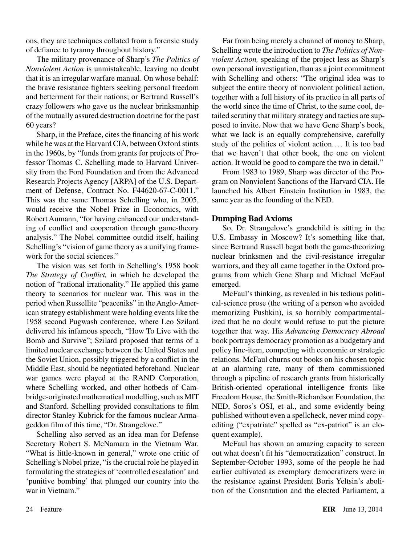ons, they are techniques collated from a forensic study of defiance to tyranny throughout history."

The military provenance of Sharp's *The Politics of Nonviolent Action* is unmistakeable, leaving no doubt that it is an irregular warfare manual. On whose behalf: the brave resistance fighters seeking personal freedom and betterment for their nations; or Bertrand Russell's crazy followers who gave us the nuclear brinksmanhip of the mutually assured destruction doctrine for the past 60 years?

Sharp, in the Preface, cites the financing of his work while he was at the Harvard CIA, between Oxford stints in the 1960s, by "funds from grants for projects of Professor Thomas C. Schelling made to Harvard University from the Ford Foundation and from the Advanced Research Projects Agency [ARPA] of the U.S. Department of Defense, Contract No. F44620-67-C-0011." This was the same Thomas Schelling who, in 2005, would receive the Nobel Prize in Economics, with Robert Aumann, "for having enhanced our understanding of conflict and cooperation through game-theory analysis." The Nobel committee outdid itself, hailing Schelling's "vision of game theory as a unifying framework for the social sciences."

The vision was set forth in Schelling's 1958 book *The Strategy of Conflict,* in which he developed the notion of "rational irrationality." He applied this game theory to scenarios for nuclear war. This was in the period when Russellite "peaceniks" in the Anglo-American strategy establishment were holding events like the 1958 second Pugwash conference, where Leo Szilard delivered his infamous speech, "How To Live with the Bomb and Survive"; Szilard proposed that terms of a limited nuclear exchange between the United States and the Soviet Union, possibly triggered by a conflict in the Middle East, should be negotiated beforehand. Nuclear war games were played at the RAND Corporation, where Schelling worked, and other hotbeds of Cambridge-originated mathematical modelling, such as MIT and Stanford. Schelling provided consultations to film director Stanley Kubrick for the famous nuclear Armageddon film of this time, "Dr. Strangelove."

Schelling also served as an idea man for Defense Secretary Robert S. McNamara in the Vietnam War. "What is little-known in general," wrote one critic of Schelling's Nobel prize, "is the crucial role he played in formulating the strategies of 'controlled escalation' and 'punitive bombing' that plunged our country into the war in Vietnam."

Far from being merely a channel of money to Sharp, Schelling wrote the introduction to *The Politics of Nonviolent Action,* speaking of the project less as Sharp's own personal investigation, than as a joint commitment with Schelling and others: "The original idea was to subject the entire theory of nonviolent political action, together with a full history of its practice in all parts of the world since the time of Christ, to the same cool, detailed scrutiny that military strategy and tactics are supposed to invite. Now that we have Gene Sharp's book, what we lack is an equally comprehensive, carefully study of the politics of violent action.... It is too bad that we haven't that other book, the one on violent action. It would be good to compare the two in detail."

From 1983 to 1989, Sharp was director of the Program on Nonviolent Sanctions of the Harvard CIA. He launched his Albert Einstein Institution in 1983, the same year as the founding of the NED.

#### **Dumping Bad Axioms**

So, Dr. Strangelove's grandchild is sitting in the U.S. Embassy in Moscow? It's something like that, since Bertrand Russell begat both the game-theorizing nuclear brinksmen and the civil-resistance irregular warriors, and they all came together in the Oxford programs from which Gene Sharp and Michael McFaul emerged.

McFaul's thinking, as revealed in his tedious political-science prose (the writing of a person who avoided memorizing Pushkin), is so horribly compartmentalized that he no doubt would refuse to put the picture together that way. His *Advancing Democracy Abroad* book portrays democracy promotion as a budgetary and policy line-item, competing with economic or strategic relations. McFaul churns out books on his chosen topic at an alarming rate, many of them commissioned through a pipeline of research grants from historically British-oriented operational intelligence fronts like Freedom House, the Smith-Richardson Foundation, the NED, Soros's OSI, et al., and some evidently being published without even a spellcheck, never mind copyediting ("expatriate" spelled as "ex-patriot" is an eloquent example).

McFaul has shown an amazing capacity to screen out what doesn't fit his "democratization" construct. In September-October 1993, some of the people he had earlier cultivated as exemplary democratizers were in the resistance against President Boris Yeltsin's abolition of the Constitution and the elected Parliament, a